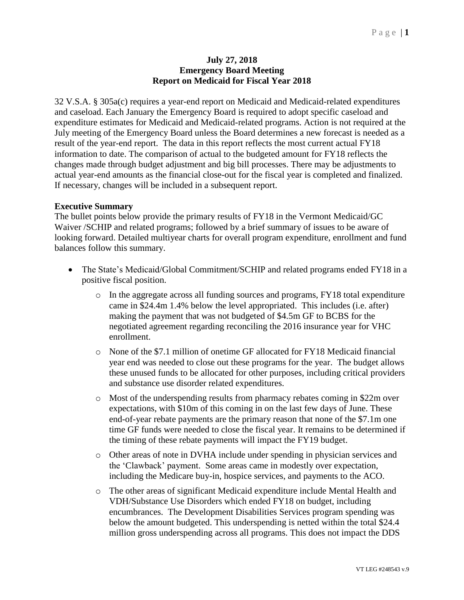## **July 27, 2018 Emergency Board Meeting Report on Medicaid for Fiscal Year 2018**

32 V.S.A. § 305a(c) requires a year-end report on Medicaid and Medicaid-related expenditures and caseload. Each January the Emergency Board is required to adopt specific caseload and expenditure estimates for Medicaid and Medicaid-related programs. Action is not required at the July meeting of the Emergency Board unless the Board determines a new forecast is needed as a result of the year-end report. The data in this report reflects the most current actual FY18 information to date. The comparison of actual to the budgeted amount for FY18 reflects the changes made through budget adjustment and big bill processes. There may be adjustments to actual year-end amounts as the financial close-out for the fiscal year is completed and finalized. If necessary, changes will be included in a subsequent report.

## **Executive Summary**

The bullet points below provide the primary results of FY18 in the Vermont Medicaid/GC Waiver /SCHIP and related programs; followed by a brief summary of issues to be aware of looking forward. Detailed multiyear charts for overall program expenditure, enrollment and fund balances follow this summary.

- The State's Medicaid/Global Commitment/SCHIP and related programs ended FY18 in a positive fiscal position.
	- $\circ$  In the aggregate across all funding sources and programs, FY18 total expenditure came in \$24.4m 1.4% below the level appropriated. This includes (i.e. after) making the payment that was not budgeted of \$4.5m GF to BCBS for the negotiated agreement regarding reconciling the 2016 insurance year for VHC enrollment.
	- o None of the \$7.1 million of onetime GF allocated for FY18 Medicaid financial year end was needed to close out these programs for the year. The budget allows these unused funds to be allocated for other purposes, including critical providers and substance use disorder related expenditures.
	- o Most of the underspending results from pharmacy rebates coming in \$22m over expectations, with \$10m of this coming in on the last few days of June. These end-of-year rebate payments are the primary reason that none of the \$7.1m one time GF funds were needed to close the fiscal year. It remains to be determined if the timing of these rebate payments will impact the FY19 budget.
	- o Other areas of note in DVHA include under spending in physician services and the 'Clawback' payment. Some areas came in modestly over expectation, including the Medicare buy-in, hospice services, and payments to the ACO.
	- o The other areas of significant Medicaid expenditure include Mental Health and VDH/Substance Use Disorders which ended FY18 on budget, including encumbrances. The Development Disabilities Services program spending was below the amount budgeted. This underspending is netted within the total \$24.4 million gross underspending across all programs. This does not impact the DDS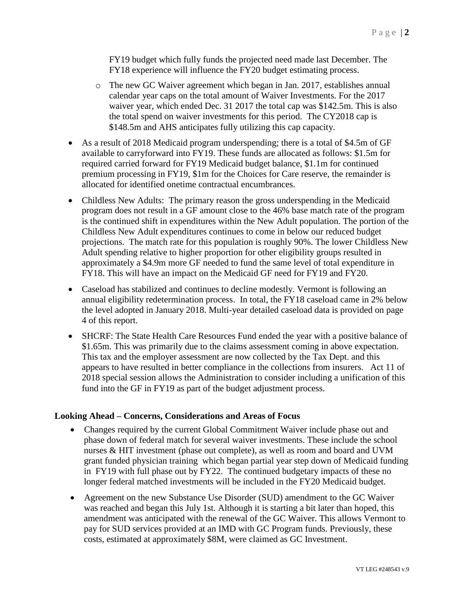FY19 budget which fully funds the projected need made last December. The FY18 experience will influence the FY20 budget estimating process.

- o The new GC Waiver agreement which began in Jan. 2017, establishes annual calendar year caps on the total amount of Waiver Investments. For the 2017 waiver year, which ended Dec. 31 2017 the total cap was \$142.5m. This is also the total spend on waiver investments for this period. The CY2018 cap is \$148.5m and AHS anticipates fully utilizing this cap capacity.
- As a result of 2018 Medicaid program underspending; there is a total of \$4.5m of GF available to carryforward into FY19. These funds are allocated as follows: \$1.5m for required carried forward for FY19 Medicaid budget balance, \$1.1m for continued premium processing in FY19, \$1m for the Choices for Care reserve, the remainder is allocated for identified onetime contractual encumbrances.
- Childless New Adults: The primary reason the gross underspending in the Medicaid program does not result in a GF amount close to the 46% base match rate of the program is the continued shift in expenditures within the New Adult population. The portion of the Childless New Adult expenditures continues to come in below our reduced budget projections. The match rate for this population is roughly 90%. The lower Childless New Adult spending relative to higher proportion for other eligibility groups resulted in approximately a \$4.9m more GF needed to fund the same level of total expenditure in FY18. This will have an impact on the Medicaid GF need for FY19 and FY20.
- Caseload has stabilized and continues to decline modestly. Vermont is following an annual eligibility redetermination process. In total, the FY18 caseload came in 2% below the level adopted in January 2018. Multi-year detailed caseload data is provided on page 4 of this report.
- SHCRF: The State Health Care Resources Fund ended the year with a positive balance of \$1.65m. This was primarily due to the claims assessment coming in above expectation. This tax and the employer assessment are now collected by the Tax Dept. and this appears to have resulted in better compliance in the collections from insurers. Act 11 of 2018 special session allows the Administration to consider including a unification of this fund into the GF in FY19 as part of the budget adjustment process.

## **Looking Ahead – Concerns, Considerations and Areas of Focus**

- Changes required by the current Global Commitment Waiver include phase out and phase down of federal match for several waiver investments. These include the school nurses & HIT investment (phase out complete), as well as room and board and UVM grant funded physician training which began partial year step down of Medicaid funding in FY19 with full phase out by FY22. The continued budgetary impacts of these no longer federal matched investments will be included in the FY20 Medicaid budget.
- Agreement on the new Substance Use Disorder (SUD) amendment to the GC Waiver was reached and began this July 1st. Although it is starting a bit later than hoped, this amendment was anticipated with the renewal of the GC Waiver. This allows Vermont to pay for SUD services provided at an IMD with GC Program funds. Previously, these costs, estimated at approximately \$8M, were claimed as GC Investment.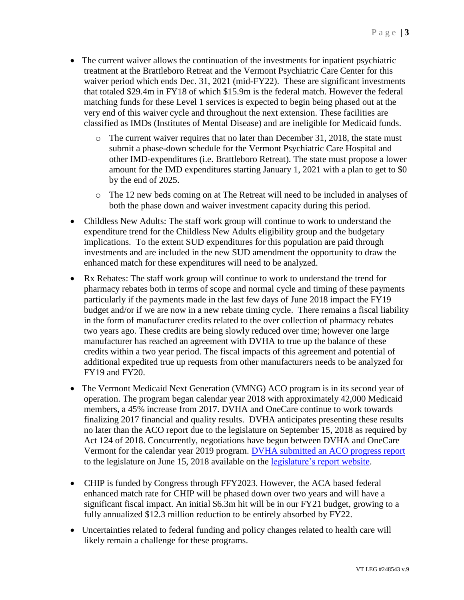- The current waiver allows the continuation of the investments for inpatient psychiatric treatment at the Brattleboro Retreat and the Vermont Psychiatric Care Center for this waiver period which ends Dec. 31, 2021 (mid-FY22). These are significant investments that totaled \$29.4m in FY18 of which \$15.9m is the federal match. However the federal matching funds for these Level 1 services is expected to begin being phased out at the very end of this waiver cycle and throughout the next extension. These facilities are classified as IMDs (Institutes of Mental Disease) and are ineligible for Medicaid funds.
	- $\circ$  The current waiver requires that no later than December 31, 2018, the state must submit a phase-down schedule for the Vermont Psychiatric Care Hospital and other IMD-expenditures (i.e. Brattleboro Retreat). The state must propose a lower amount for the IMD expenditures starting January 1, 2021 with a plan to get to \$0 by the end of 2025.
	- o The 12 new beds coming on at The Retreat will need to be included in analyses of both the phase down and waiver investment capacity during this period.
- Childless New Adults: The staff work group will continue to work to understand the expenditure trend for the Childless New Adults eligibility group and the budgetary implications. To the extent SUD expenditures for this population are paid through investments and are included in the new SUD amendment the opportunity to draw the enhanced match for these expenditures will need to be analyzed.
- Rx Rebates: The staff work group will continue to work to understand the trend for pharmacy rebates both in terms of scope and normal cycle and timing of these payments particularly if the payments made in the last few days of June 2018 impact the FY19 budget and/or if we are now in a new rebate timing cycle. There remains a fiscal liability in the form of manufacturer credits related to the over collection of pharmacy rebates two years ago. These credits are being slowly reduced over time; however one large manufacturer has reached an agreement with DVHA to true up the balance of these credits within a two year period. The fiscal impacts of this agreement and potential of additional expedited true up requests from other manufacturers needs to be analyzed for FY19 and FY20.
- The Vermont Medicaid Next Generation (VMNG) ACO program is in its second year of operation. The program began calendar year 2018 with approximately 42,000 Medicaid members, a 45% increase from 2017. DVHA and OneCare continue to work towards finalizing 2017 financial and quality results. DVHA anticipates presenting these results no later than the ACO report due to the legislature on September 15, 2018 as required by Act 124 of 2018. Concurrently, negotiations have begun between DVHA and OneCare Vermont for the calendar year 2019 program. [DVHA submitted an ACO progress report](https://legislature.vermont.gov/assets/Legislative-Reports/ACT-124-VMNG-Report-to-Legislature-June-15-2018.pdf) to the legislature on June 15, 2018 available on the [legislature's report website.](https://legislature.vermont.gov/reports-and-research/find/2018.1)
- CHIP is funded by Congress through FFY2023. However, the ACA based federal enhanced match rate for CHIP will be phased down over two years and will have a significant fiscal impact. An initial \$6.3m hit will be in our FY21 budget, growing to a fully annualized \$12.3 million reduction to be entirely absorbed by FY22.
- Uncertainties related to federal funding and policy changes related to health care will likely remain a challenge for these programs.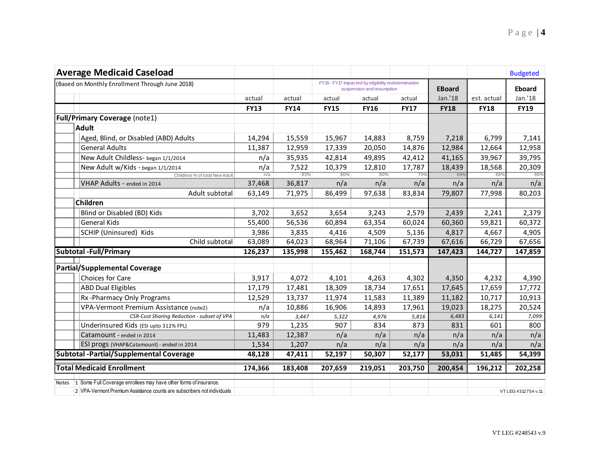| <b>Average Medicaid Caseload</b>                                                    |             |                |                                                                                |              |              |               |              | <b>Budgeted</b>     |
|-------------------------------------------------------------------------------------|-------------|----------------|--------------------------------------------------------------------------------|--------------|--------------|---------------|--------------|---------------------|
| (Based on Monthly Enrollment Through June 2018)                                     |             |                | FY15-FY17 impacted by eligibility redetermination<br>suspension and resumption |              |              | <b>EBoard</b> |              | <b>Eboard</b>       |
|                                                                                     | actual      | actual         | actual                                                                         | actual       | actual       | Jan.'18       | est. actual  | Jan.'18             |
|                                                                                     | <b>FY13</b> | <b>FY14</b>    | <b>FY15</b>                                                                    | <b>FY16</b>  | <b>FY17</b>  | <b>FY18</b>   | <b>FY18</b>  | <b>FY19</b>         |
| <b>Full/Primary Coverage (note1)</b>                                                |             |                |                                                                                |              |              |               |              |                     |
| <b>Adult</b>                                                                        |             |                |                                                                                |              |              |               |              |                     |
| Aged, Blind, or Disabled (ABD) Adults                                               | 14,294      | 15,559         | 15,967                                                                         | 14,883       | 8,759        | 7,218         | 6,799        | 7,141               |
| <b>General Adults</b>                                                               | 11,387      | 12,959         | 17,339                                                                         | 20,050       | 14,876       | 12,984        | 12,664       | 12,958              |
| New Adult Childless- began 1/1/2014                                                 | n/a         | 35,935         | 42,814                                                                         | 49,895       | 42,412       | 41,165        | 39,967       | 39,795              |
| New Adult w/Kids - began 1/1/2014                                                   | n/a         | 7,522          | 10,379                                                                         | 12,810       | 17,787       | 18,439        | 18,568       | 20,309              |
| Childless % of total New Adult                                                      | m/a         | 83%            | 80%                                                                            | 80%          | 70%          | 69%           | 68%          | 66%                 |
| VHAP Adults - ended in 2014                                                         | 37,468      | 36,817         | n/a                                                                            | n/a          | n/a          | n/a           | n/a          | n/a                 |
| Adult subtotal                                                                      | 63,149      | 71,975         | 86,499                                                                         | 97,638       | 83,834       | 79,807        | 77,998       | 80,203              |
| Children                                                                            |             |                |                                                                                |              |              |               |              |                     |
| Blind or Disabled (BD) Kids                                                         | 3,702       | 3,652          | 3,654                                                                          | 3,243        | 2,579        | 2,439         | 2,241        | 2,379               |
| <b>General Kids</b>                                                                 | 55,400      | 56,536         | 60,894                                                                         | 63,354       | 60,024       | 60,360        | 59,821       | 60,372              |
| SCHIP (Uninsured) Kids                                                              | 3,986       | 3,835          | 4,416                                                                          | 4,509        | 5,136        | 4,817         | 4,667        | 4,905               |
| Child subtotal                                                                      | 63,089      | 64,023         | 68,964                                                                         | 71,106       | 67,739       | 67,616        | 66,729       | 67,656              |
| <b>Subtotal - Full/Primary</b>                                                      | 126,237     | 135,998        | 155,462                                                                        | 168,744      | 151,573      | 147,423       | 144,727      | 147,859             |
| <b>Partial/Supplemental Coverage</b>                                                |             |                |                                                                                |              |              |               |              |                     |
| <b>Choices for Care</b>                                                             | 3,917       |                |                                                                                |              | 4,302        |               | 4,232        | 4,390               |
|                                                                                     |             | 4,072          | 4,101                                                                          | 4,263        |              | 4,350         |              |                     |
| <b>ABD Dual Eligibles</b>                                                           | 17,179      | 17,481         | 18,309                                                                         | 18,734       | 17,651       | 17,645        | 17,659       | 17,772              |
| Rx-Pharmacy Only Programs                                                           | 12,529      | 13,737         | 11,974                                                                         | 11,583       | 11,389       | 11,182        | 10,717       | 10,913              |
| VPA-Vermont Premium Assistance (note2)                                              | n/a         | 10,886         | 16,906                                                                         | 14,893       | 17,961       | 19,023        | 18,275       | 20,524              |
| CSR-Cost Sharing Reduction - subset of VPA<br>Underinsured Kids (ESI upto 312% FPL) | n/a<br>979  | 3,447<br>1,235 | 5,322<br>907                                                                   | 4,976<br>834 | 5,816<br>873 | 6,483<br>831  | 6,141<br>601 | 7,099<br>800        |
| Catamount - ended in 2014                                                           | 11,483      | 12,387         | n/a                                                                            | n/a          | n/a          | n/a           | n/a          | n/a                 |
| ESI progs (VHAP&Catamount) - ended in 2014                                          | 1,534       | 1,207          | n/a                                                                            | n/a          | n/a          | n/a           | n/a          | n/a                 |
| <b>Subtotal -Partial/Supplemental Coverage</b>                                      |             |                |                                                                                |              |              |               |              |                     |
|                                                                                     | 48,128      | 47,411         | 52,197                                                                         | 50,307       | 52,177       | 53,031        | 51,485       | 54,399              |
| <b>Total Medicaid Enrollment</b>                                                    | 174,366     | 183,408        | 207,659                                                                        | 219,051      | 203,750      | 200,454       | 196,212      | 202,258             |
| Notes 1 Some Full Coverage enrollees may have other forms of insurance.             |             |                |                                                                                |              |              |               |              |                     |
| 2 VPA-Vermont Premium Assistance counts are subscribers not individuals             |             |                |                                                                                |              |              |               |              | VT LEG #312754 v.11 |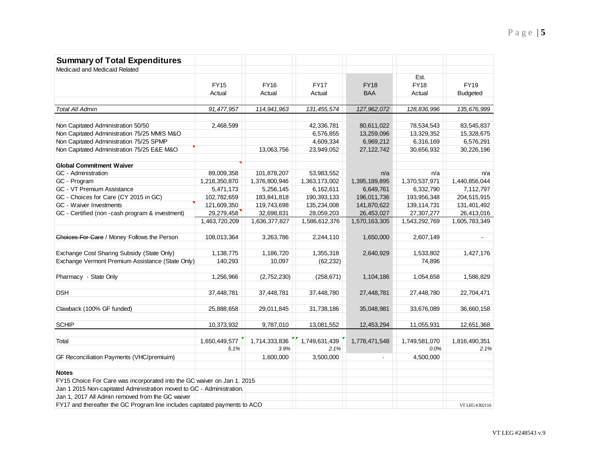| <b>Summary of Total Expenditures</b>                                       |               |               |               |                          |               |                 |
|----------------------------------------------------------------------------|---------------|---------------|---------------|--------------------------|---------------|-----------------|
| Medicaid and Medicaid Related                                              |               |               |               |                          |               |                 |
|                                                                            |               |               |               |                          | Est.          |                 |
|                                                                            | <b>FY15</b>   | <b>FY16</b>   | <b>FY17</b>   | <b>FY18</b>              | <b>FY18</b>   | <b>FY19</b>     |
|                                                                            | Actual        | Actual        | Actual        | <b>BAA</b>               | Actual        | <b>Budgeted</b> |
| <b>Total All Admin</b>                                                     | 91,477,957    | 114,941,963   | 131,455,574   | 127,962,072              | 128,836,996   | 135,676,999     |
|                                                                            |               |               |               |                          |               |                 |
| Non Capitated Administration 50/50                                         | 2,468,599     |               | 42,336,781    | 80,611,022               | 78,534,543    | 83,545,837      |
| Non Capitated Administration 75/25 MMIS M&O                                |               |               | 6,576,855     | 13,259,096               | 13,329,352    | 15,328,675      |
| Non Capitated Administration 75/25 SPMP                                    |               |               | 4,609,334     | 6,969,212                | 6,316,169     | 6,576,291       |
| Non Capitated Administration 75/25 E&E M&O                                 |               | 13,063,756    | 23,949,052    | 27, 122, 742             | 30,656,932    | 30,226,196      |
| <b>Global Commitment Waiver</b>                                            |               |               |               |                          |               |                 |
| GC - Administration                                                        | 89,009,358    | 101,878,207   | 53,983,552    | n/a                      | n/a           | n/a             |
| GC - Program                                                               | 1,218,350,870 | 1,376,800,946 | 1,363,173,002 | 1,395,189,895            | 1,370,537,971 | 1,440,856,044   |
| GC - VT Premium Assistance                                                 | 5,471,173     | 5,256,145     | 6,162,611     | 6,649,761                | 6,332,790     | 7,112,797       |
| GC - Choices for Care (CY 2015 in GC)                                      | 102,782,659   | 183,841,818   | 190,393,133   | 196,011,736              | 193,956,348   | 204,515,915     |
| GC - Waiver Investments                                                    | 121,609,350   | 119,743,698   | 135,234,008   | 141,870,622              | 139, 114, 731 | 131,401,492     |
| GC - Certified (non -cash program & investment)                            | 29,279,458    | 32,698,831    | 28,059,203    | 26,453,027               | 27,307,277    | 26,413,016      |
|                                                                            | 1,463,720,209 | 1,636,377,827 | 1,586,612,376 | 1,570,163,305            | 1,543,292,769 | 1,605,783,349   |
|                                                                            |               |               |               |                          |               |                 |
| Choices For Care / Money Follows the Person                                | 108,013,364   | 3,263,786     | 2,244,110     | 1,650,000                | 2,607,149     | $\sim$          |
| Exchange Cost Sharing Subsidy (State Only)                                 | 1,138,775     | 1,186,720     | 1,355,318     | 2,640,929                | 1,533,802     | 1,427,176       |
| Exchange Vermont Premium Assistance (State Only)                           | 140,293       | 10,097        | (62, 232)     |                          | 74,896        |                 |
|                                                                            |               |               |               |                          |               |                 |
| Pharmacy - State Only                                                      | 1,256,966     | (2,752,230)   | (258, 671)    | 1,104,186                | 1,054,658     | 1,586,829       |
| <b>DSH</b>                                                                 | 37,448,781    | 37,448,781    | 37,448,780    | 27,448,781               | 27,448,780    | 22,704,471      |
|                                                                            |               |               |               |                          |               |                 |
| Clawback (100% GF funded)                                                  | 25,888,658    | 29,011,845    | 31,738,186    | 35,048,981               | 33,676,089    | 36,660,158      |
| <b>SCHIP</b>                                                               | 10,373,932    | 9,787,010     | 13,081,552    | 12,453,294               | 11,055,931    | 12,651,368      |
|                                                                            |               |               |               |                          |               |                 |
| Total                                                                      | 1,650,449,577 | 1,714,333,836 | 1,749,631,439 | 1,778,471,548            | 1,749,581,070 | 1,816,490,351   |
|                                                                            | 5.1%          | 3.9%          | 2.1%          |                          | 0.0%          | 2.1%            |
| GF Reconciliation Payments (VHC/premiuim)                                  |               | 1,600,000     | 3,500,000     | $\overline{\phantom{a}}$ | 4,500,000     |                 |
| <b>Notes</b>                                                               |               |               |               |                          |               |                 |
| FY15 Choice For Care was incorporated into the GC waiver on Jan 1. 2015    |               |               |               |                          |               |                 |
| Jan 1 2015 Non-capitated Administration moved to GC - Administration.      |               |               |               |                          |               |                 |
| Jan 1, 2017 All Admin removed from the GC waiver                           |               |               |               |                          |               |                 |
| FY17 and thereafter the GC Program line includes capitated payments to ACO |               |               |               |                          |               | VT LEG #302110  |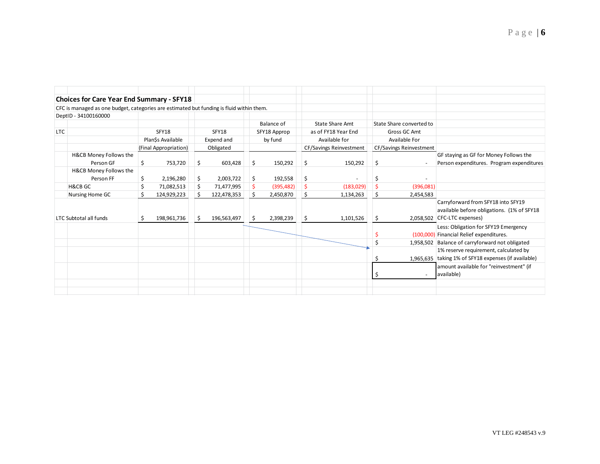|            | <b>Choices for Care Year End Summary - SFY18</b>                                         |    |                          |              |                       |    |            |                     |                                                        |                         |                          |                                            |
|------------|------------------------------------------------------------------------------------------|----|--------------------------|--------------|-----------------------|----|------------|---------------------|--------------------------------------------------------|-------------------------|--------------------------|--------------------------------------------|
|            | CFC is managed as one budget, categories are estimated but funding is fluid within them. |    |                          |              |                       |    |            |                     |                                                        |                         |                          |                                            |
|            | DeptID - 34100160000                                                                     |    |                          |              |                       |    |            |                     |                                                        |                         |                          |                                            |
|            |                                                                                          |    |                          |              |                       |    | Balance of |                     | State Share Amt                                        |                         | State Share converted to |                                            |
| <b>LTC</b> |                                                                                          |    | SFY18                    |              | SFY18<br>SFY18 Approp |    |            | as of FY18 Year End |                                                        | Gross GC Amt            |                          |                                            |
|            | Plan\$s Available<br>Expend and                                                          |    | Available for<br>by fund |              | Available For         |    |            |                     |                                                        |                         |                          |                                            |
|            |                                                                                          |    | (Final Appropriation)    |              | Obligated             |    |            |                     | <b>CF/Savings Reinvestment</b>                         | CF/Savings Reinvestment |                          |                                            |
|            | <b>H&amp;CB Money Follows the</b>                                                        |    |                          |              |                       |    |            |                     |                                                        |                         |                          | GF staying as GF for Money Follows the     |
|            | Person GF                                                                                | \$ | 753,720                  | \$           | 603,428               | \$ | 150,292    | \$                  | 150,292                                                | \$                      |                          | Person expenditures. Program expenditures  |
|            | H&CB Money Follows the                                                                   |    |                          |              |                       |    |            |                     |                                                        |                         |                          |                                            |
|            | Person FF                                                                                | \$ | 2,196,280                | \$           | 2,003,722             | \$ | 192,558    | \$                  |                                                        | S                       |                          |                                            |
|            | <b>H&amp;CB GC</b>                                                                       |    | 71,082,513               | \$           | 71,477,995            | \$ | (395, 482) | \$                  | (183, 029)                                             |                         | (396,081)                |                                            |
|            | Nursing Home GC                                                                          | Ś  | 124,929,223              | Ś            | 122,478,353           | \$ | 2,450,870  | \$                  | 1,134,263                                              | \$                      | 2,454,583                |                                            |
|            |                                                                                          |    |                          |              |                       |    |            |                     |                                                        |                         |                          | Carryforward from SFY18 into SFY19         |
|            |                                                                                          |    |                          |              |                       |    |            |                     |                                                        |                         |                          | available before obligations. (1% of SFY18 |
|            | <b>LTC Subtotal all funds</b>                                                            |    | 198,961,736              | <sub>S</sub> | 196,563,497           | \$ | 2,398,239  | \$                  | 1,101,526                                              | \$.                     |                          | 2,058,502 CFC-LTC expenses)                |
|            |                                                                                          |    |                          |              |                       |    |            |                     |                                                        |                         |                          | Less: Obligation for SFY19 Emergency       |
|            |                                                                                          |    |                          |              |                       |    |            |                     |                                                        |                         |                          | (100,000) Financial Relief expenditures.   |
|            |                                                                                          |    |                          |              |                       |    |            |                     |                                                        |                         | 1,958,502                | Balance of carryforward not obligated      |
|            |                                                                                          |    |                          |              |                       |    |            |                     |                                                        |                         |                          | 1% reserve requirement, calculated by      |
|            |                                                                                          |    |                          |              |                       |    |            |                     | 1,965,635   taking 1% of SFY18 expenses (if available) |                         |                          |                                            |
|            |                                                                                          |    |                          |              |                       |    |            |                     |                                                        |                         |                          | amount available for "reinvestment" (if    |
|            |                                                                                          |    |                          |              |                       |    |            |                     |                                                        | S                       |                          | available)                                 |
|            |                                                                                          |    |                          |              |                       |    |            |                     |                                                        |                         |                          |                                            |
|            |                                                                                          |    |                          |              |                       |    |            |                     |                                                        |                         |                          |                                            |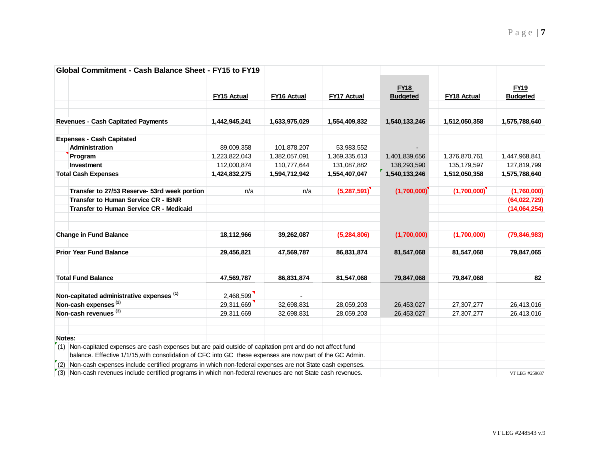| Global Commitment - Cash Balance Sheet - FY15 to FY19                                                                           |               |                    |                    |                                |                    |                                |
|---------------------------------------------------------------------------------------------------------------------------------|---------------|--------------------|--------------------|--------------------------------|--------------------|--------------------------------|
|                                                                                                                                 | FY15 Actual   | <b>FY16 Actual</b> | <b>FY17 Actual</b> | <b>FY18</b><br><b>Budgeted</b> | <b>FY18 Actual</b> | <b>FY19</b><br><b>Budgeted</b> |
| <b>Revenues - Cash Capitated Payments</b>                                                                                       | 1,442,945,241 | 1,633,975,029      | 1,554,409,832      | 1,540,133,246                  | 1,512,050,358      | 1,575,788,640                  |
| <b>Expenses - Cash Capitated</b>                                                                                                |               |                    |                    |                                |                    |                                |
| Administration                                                                                                                  | 89,009,358    | 101,878,207        | 53,983,552         |                                |                    |                                |
| Program                                                                                                                         | 1,223,822,043 | 1,382,057,091      | 1,369,335,613      | 1,401,839,656                  | 1,376,870,761      | 1,447,968,841                  |
| Investment                                                                                                                      | 112,000,874   | 110,777,644        | 131,087,882        | 138,293,590                    | 135, 179, 597      | 127,819,799                    |
| <b>Total Cash Expenses</b>                                                                                                      | 1,424,832,275 | 1,594,712,942      | 1,554,407,047      | 1,540,133,246                  | 1,512,050,358      | 1,575,788,640                  |
| Transfer to 27/53 Reserve- 53rd week portion                                                                                    | n/a           | n/a                | (5,287,591)        | (1,700,000)                    | (1,700,000)        | (1,760,000)                    |
| <b>Transfer to Human Service CR - IBNR</b>                                                                                      |               |                    |                    |                                |                    | (64,022,729)                   |
| <b>Transfer to Human Service CR - Medicaid</b>                                                                                  |               |                    |                    |                                |                    | (14,064,254)                   |
| <b>Change in Fund Balance</b>                                                                                                   | 18,112,966    | 39,262,087         | (5, 284, 806)      | (1,700,000)                    | (1,700,000)        | (79, 846, 983)                 |
| <b>Prior Year Fund Balance</b>                                                                                                  | 29,456,821    | 47,569,787         | 86,831,874         | 81,547,068                     | 81,547,068         | 79,847,065                     |
| <b>Total Fund Balance</b>                                                                                                       | 47,569,787    | 86,831,874         | 81,547,068         | 79,847,068                     | 79,847,068         | 82                             |
| Non-capitated administrative expenses <sup>(1)</sup>                                                                            | 2,468,599     |                    |                    |                                |                    |                                |
| Non-cash expenses <sup>(2)</sup>                                                                                                | 29,311,669    | 32,698,831         | 28,059,203         | 26,453,027                     | 27,307,277         | 26,413,016                     |
| Non-cash revenues (3)                                                                                                           | 29,311,669    | 32,698,831         | 28,059,203         | 26,453,027                     | 27,307,277         | 26,413,016                     |
| Notes:<br>$\binom{r}{1}$ Non-capitated expenses are cash expenses but are paid outside of capitation pmt and do not affect fund |               |                    |                    |                                |                    |                                |
| balance. Effective 1/1/15, with consolidation of CFC into GC these expenses are now part of the GC Admin.                       |               |                    |                    |                                |                    |                                |
| $\mathcal{F}(2)$ Non-cash expenses include certified programs in which non-federal expenses are not State cash expenses.        |               |                    |                    |                                |                    |                                |
| (3) Non-cash revenues include certified programs in which non-federal revenues are not State cash revenues.                     |               |                    |                    |                                |                    | VT LEG #259687                 |